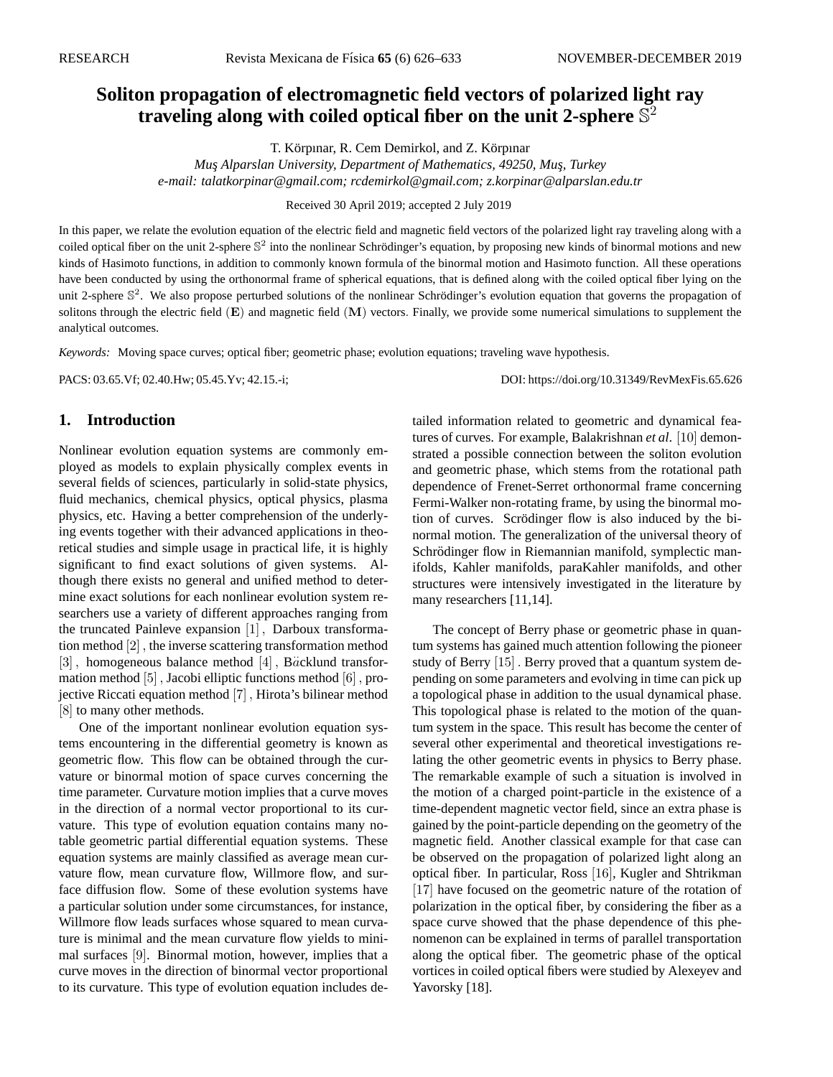# **Soliton propagation of electromagnetic field vectors of polarized light ray traveling along with coiled optical fiber on the unit 2-sphere** S 2

T. Körpınar, R. Cem Demirkol, and Z. Körpınar

*Mus¸ Alparslan University, Department of Mathematics, 49250, Mus¸, Turkey e-mail: talatkorpinar@gmail.com; rcdemirkol@gmail.com; z.korpinar@alparslan.edu.tr*

Received 30 April 2019; accepted 2 July 2019

In this paper, we relate the evolution equation of the electric field and magnetic field vectors of the polarized light ray traveling along with a coiled optical fiber on the unit 2-sphere  $\mathbb{S}^2$  into the nonlinear Schrödinger's equation, by proposing new kinds of binormal motions and new kinds of Hasimoto functions, in addition to commonly known formula of the binormal motion and Hasimoto function. All these operations have been conducted by using the orthonormal frame of spherical equations, that is defined along with the coiled optical fiber lying on the unit 2-sphere  $\mathbb{S}^2$ . We also propose perturbed solutions of the nonlinear Schrödinger's evolution equation that governs the propagation of solitons through the electric field  $(E)$  and magnetic field  $(M)$  vectors. Finally, we provide some numerical simulations to supplement the analytical outcomes.

*Keywords:* Moving space curves; optical fiber; geometric phase; evolution equations; traveling wave hypothesis.

PACS: 03.65.Vf; 02.40.Hw; 05.45.Yv; 42.15.-i; DOI: https://doi.org/10.31349/RevMexFis.65.626

#### **1. Introduction**

Nonlinear evolution equation systems are commonly employed as models to explain physically complex events in several fields of sciences, particularly in solid-state physics, fluid mechanics, chemical physics, optical physics, plasma physics, etc. Having a better comprehension of the underlying events together with their advanced applications in theoretical studies and simple usage in practical life, it is highly significant to find exact solutions of given systems. Although there exists no general and unified method to determine exact solutions for each nonlinear evolution system researchers use a variety of different approaches ranging from the truncated Painleve expansion [1] , Darboux transformation method [2] , the inverse scattering transformation method [3], homogeneous balance method  $[4]$ , B $\ddot{a}$ cklund transformation method [5] , Jacobi elliptic functions method [6] , projective Riccati equation method [7] , Hirota's bilinear method [8] to many other methods.

One of the important nonlinear evolution equation systems encountering in the differential geometry is known as geometric flow. This flow can be obtained through the curvature or binormal motion of space curves concerning the time parameter. Curvature motion implies that a curve moves in the direction of a normal vector proportional to its curvature. This type of evolution equation contains many notable geometric partial differential equation systems. These equation systems are mainly classified as average mean curvature flow, mean curvature flow, Willmore flow, and surface diffusion flow. Some of these evolution systems have a particular solution under some circumstances, for instance, Willmore flow leads surfaces whose squared to mean curvature is minimal and the mean curvature flow yields to minimal surfaces [9]. Binormal motion, however, implies that a curve moves in the direction of binormal vector proportional to its curvature. This type of evolution equation includes detailed information related to geometric and dynamical features of curves. For example, Balakrishnan *et al*. [10] demonstrated a possible connection between the soliton evolution and geometric phase, which stems from the rotational path dependence of Frenet-Serret orthonormal frame concerning Fermi-Walker non-rotating frame, by using the binormal motion of curves. Scrödinger flow is also induced by the binormal motion. The generalization of the universal theory of Schrödinger flow in Riemannian manifold, symplectic manifolds, Kahler manifolds, paraKahler manifolds, and other structures were intensively investigated in the literature by many researchers [11,14].

The concept of Berry phase or geometric phase in quantum systems has gained much attention following the pioneer study of Berry [15] . Berry proved that a quantum system depending on some parameters and evolving in time can pick up a topological phase in addition to the usual dynamical phase. This topological phase is related to the motion of the quantum system in the space. This result has become the center of several other experimental and theoretical investigations relating the other geometric events in physics to Berry phase. The remarkable example of such a situation is involved in the motion of a charged point-particle in the existence of a time-dependent magnetic vector field, since an extra phase is gained by the point-particle depending on the geometry of the magnetic field. Another classical example for that case can be observed on the propagation of polarized light along an optical fiber. In particular, Ross [16], Kugler and Shtrikman [17] have focused on the geometric nature of the rotation of polarization in the optical fiber, by considering the fiber as a space curve showed that the phase dependence of this phenomenon can be explained in terms of parallel transportation along the optical fiber. The geometric phase of the optical vortices in coiled optical fibers were studied by Alexeyev and Yavorsky [18].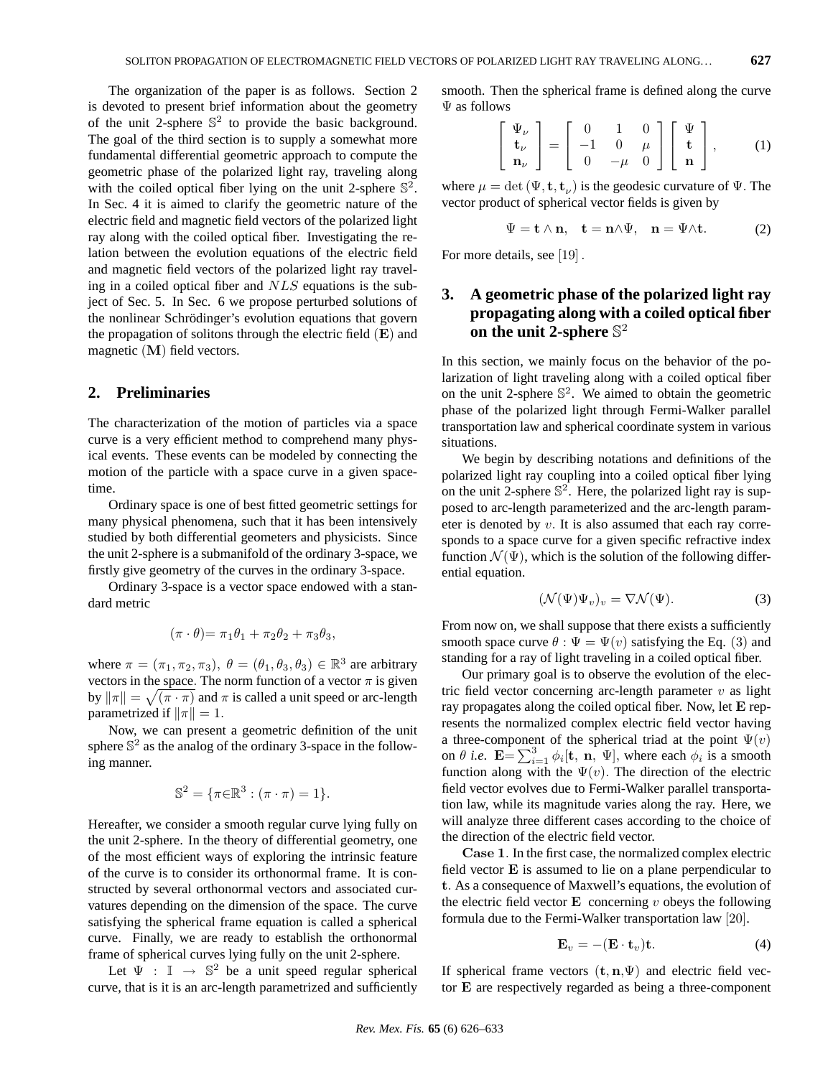The organization of the paper is as follows. Section 2 is devoted to present brief information about the geometry of the unit 2-sphere  $\mathbb{S}^2$  to provide the basic background. The goal of the third section is to supply a somewhat more fundamental differential geometric approach to compute the geometric phase of the polarized light ray, traveling along with the coiled optical fiber lying on the unit 2-sphere  $\mathbb{S}^2$ . In Sec. 4 it is aimed to clarify the geometric nature of the electric field and magnetic field vectors of the polarized light ray along with the coiled optical fiber. Investigating the relation between the evolution equations of the electric field and magnetic field vectors of the polarized light ray traveling in a coiled optical fiber and NLS equations is the subject of Sec. 5. In Sec. 6 we propose perturbed solutions of the nonlinear Schrödinger's evolution equations that govern the propagation of solitons through the electric field  $(E)$  and magnetic (M) field vectors.

#### **2. Preliminaries**

The characterization of the motion of particles via a space curve is a very efficient method to comprehend many physical events. These events can be modeled by connecting the motion of the particle with a space curve in a given spacetime.

Ordinary space is one of best fitted geometric settings for many physical phenomena, such that it has been intensively studied by both differential geometers and physicists. Since the unit 2-sphere is a submanifold of the ordinary 3-space, we firstly give geometry of the curves in the ordinary 3-space.

Ordinary 3-space is a vector space endowed with a standard metric

$$
(\pi \cdot \theta) = \pi_1 \theta_1 + \pi_2 \theta_2 + \pi_3 \theta_3,
$$

where  $\pi = (\pi_1, \pi_2, \pi_3), \ \theta = (\theta_1, \theta_3, \theta_3) \in \mathbb{R}^3$  are arbitrary vectors in the space. The norm function of a vector  $\pi$  is given by  $\|\pi\| = \sqrt{(\pi \cdot \pi)}$  and  $\pi$  is called a unit speed or arc-length parametrized if  $\|\pi\| = 1$ .

Now, we can present a geometric definition of the unit sphere  $\mathbb{S}^2$  as the analog of the ordinary 3-space in the following manner.

$$
\mathbb{S}^2 = \{ \pi \in \mathbb{R}^3 : (\pi \cdot \pi) = 1 \}.
$$

Hereafter, we consider a smooth regular curve lying fully on the unit 2-sphere. In the theory of differential geometry, one of the most efficient ways of exploring the intrinsic feature of the curve is to consider its orthonormal frame. It is constructed by several orthonormal vectors and associated curvatures depending on the dimension of the space. The curve satisfying the spherical frame equation is called a spherical curve. Finally, we are ready to establish the orthonormal frame of spherical curves lying fully on the unit 2-sphere.

Let  $\Psi : \mathbb{I} \to \mathbb{S}^2$  be a unit speed regular spherical curve, that is it is an arc-length parametrized and sufficiently smooth. Then the spherical frame is defined along the curve Ψ as follows

$$
\begin{bmatrix} \Psi_{\nu} \\ \mathbf{t}_{\nu} \\ \mathbf{n}_{\nu} \end{bmatrix} = \begin{bmatrix} 0 & 1 & 0 \\ -1 & 0 & \mu \\ 0 & -\mu & 0 \end{bmatrix} \begin{bmatrix} \Psi \\ \mathbf{t} \\ \mathbf{n} \end{bmatrix},
$$
 (1)

where  $\mu = \det (\Psi, \mathbf{t}, \mathbf{t}_{\nu})$  is the geodesic curvature of  $\Psi$ . The vector product of spherical vector fields is given by

$$
\Psi = \mathbf{t} \wedge \mathbf{n}, \quad \mathbf{t} = \mathbf{n} \wedge \Psi, \quad \mathbf{n} = \Psi \wedge \mathbf{t}.
$$
 (2)

For more details, see [19] .

# **3. A geometric phase of the polarized light ray propagating along with a coiled optical fiber on the unit 2-sphere** S 2

In this section, we mainly focus on the behavior of the polarization of light traveling along with a coiled optical fiber on the unit 2-sphere  $\mathbb{S}^2$ . We aimed to obtain the geometric phase of the polarized light through Fermi-Walker parallel transportation law and spherical coordinate system in various situations.

We begin by describing notations and definitions of the polarized light ray coupling into a coiled optical fiber lying on the unit 2-sphere  $\mathbb{S}^2$ . Here, the polarized light ray is supposed to arc-length parameterized and the arc-length parameter is denoted by  $v$ . It is also assumed that each ray corresponds to a space curve for a given specific refractive index function  $\mathcal{N}(\Psi)$ , which is the solution of the following differential equation.

$$
(\mathcal{N}(\Psi)\Psi_v)_v = \nabla \mathcal{N}(\Psi). \tag{3}
$$

From now on, we shall suppose that there exists a sufficiently smooth space curve  $\theta : \Psi = \Psi(v)$  satisfying the Eq. (3) and standing for a ray of light traveling in a coiled optical fiber.

Our primary goal is to observe the evolution of the electric field vector concerning arc-length parameter  $v$  as light ray propagates along the coiled optical fiber. Now, let E represents the normalized complex electric field vector having a three-component of the spherical triad at the point  $\Psi(v)$ a three-component of the spherical triad at the point  $\Psi(v)$ <br>on  $\theta$  *i.e.*  $\mathbf{E} = \sum_{i=1}^{3} \phi_i[\mathbf{t}, \mathbf{n}, \Psi]$ , where each  $\phi_i$  is a smooth function along with the  $\Psi(v)$ . The direction of the electric field vector evolves due to Fermi-Walker parallel transportation law, while its magnitude varies along the ray. Here, we will analyze three different cases according to the choice of the direction of the electric field vector.

Case 1. In the first case, the normalized complex electric field vector E is assumed to lie on a plane perpendicular to t. As a consequence of Maxwell's equations, the evolution of the electric field vector  $E$  concerning v obeys the following formula due to the Fermi-Walker transportation law [20].

$$
\mathbf{E}_v = -(\mathbf{E} \cdot \mathbf{t}_v)\mathbf{t}.\tag{4}
$$

If spherical frame vectors  $(t, n, \Psi)$  and electric field vector E are respectively regarded as being a three-component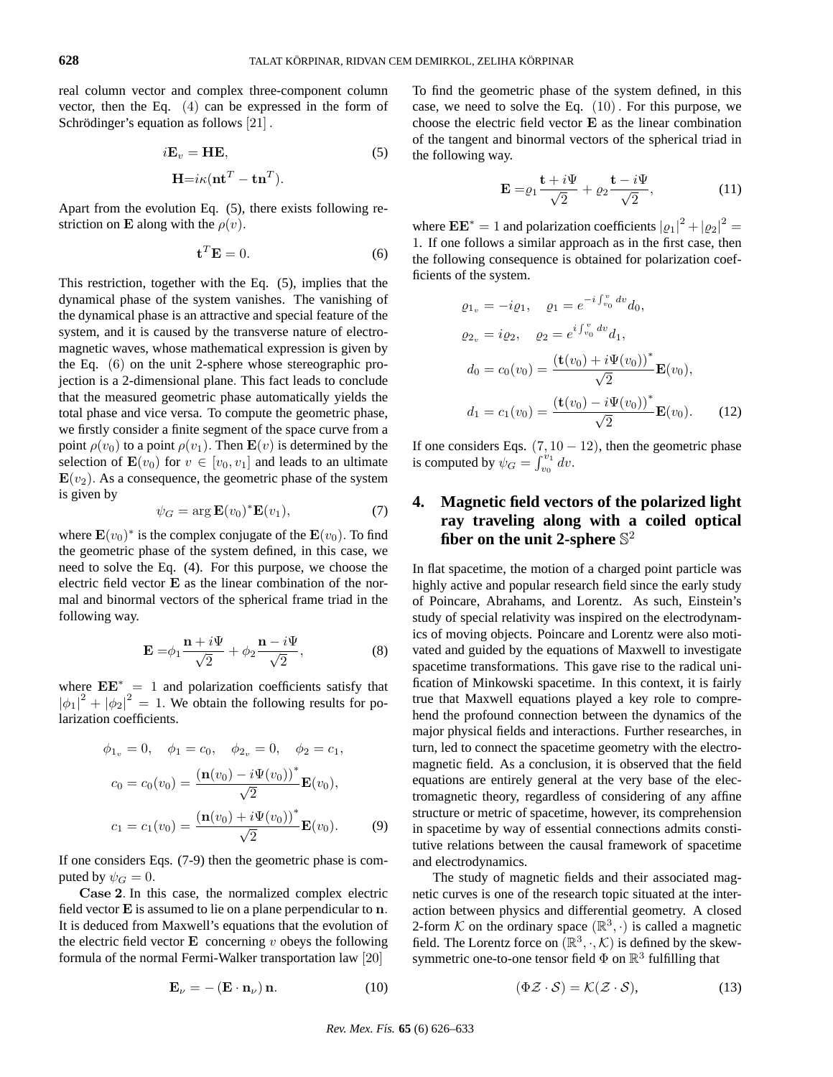real column vector and complex three-component column vector, then the Eq. (4) can be expressed in the form of Schrödinger's equation as follows  $[21]$ .

$$
iE_v = HE,
$$
  
\n
$$
H = i\kappa (\mathbf{nt}^T - \mathbf{tn}^T).
$$
\n(5)

Apart from the evolution Eq. (5), there exists following restriction on **E** along with the  $\rho(v)$ .

$$
\mathbf{t}^T \mathbf{E} = 0. \tag{6}
$$

This restriction, together with the Eq. (5), implies that the dynamical phase of the system vanishes. The vanishing of the dynamical phase is an attractive and special feature of the system, and it is caused by the transverse nature of electromagnetic waves, whose mathematical expression is given by the Eq. (6) on the unit 2-sphere whose stereographic projection is a 2-dimensional plane. This fact leads to conclude that the measured geometric phase automatically yields the total phase and vice versa. To compute the geometric phase, we firstly consider a finite segment of the space curve from a point  $\rho(v_0)$  to a point  $\rho(v_1)$ . Then  $\mathbf{E}(v)$  is determined by the selection of  $\mathbf{E}(v_0)$  for  $v \in [v_0, v_1]$  and leads to an ultimate  $\mathbf{E}(v_2)$ . As a consequence, the geometric phase of the system is given by

$$
\psi_G = \arg \mathbf{E}(v_0)^* \mathbf{E}(v_1),\tag{7}
$$

where  $\mathbf{E}(v_0)^*$  is the complex conjugate of the  $\mathbf{E}(v_0)$ . To find the geometric phase of the system defined, in this case, we need to solve the Eq. (4). For this purpose, we choose the electric field vector E as the linear combination of the normal and binormal vectors of the spherical frame triad in the following way.

$$
\mathbf{E} = \phi_1 \frac{\mathbf{n} + i\Psi}{\sqrt{2}} + \phi_2 \frac{\mathbf{n} - i\Psi}{\sqrt{2}},
$$
 (8)

where  $EE^* = 1$  and polarization coefficients satisfy that  $|\phi_1|^2 + |\phi_2|^2 = 1$ . We obtain the following results for polarization coefficients.

$$
\phi_{1_v} = 0, \quad \phi_1 = c_0, \quad \phi_{2_v} = 0, \quad \phi_2 = c_1,
$$

$$
c_0 = c_0(v_0) = \frac{(\mathbf{n}(v_0) - i\Psi(v_0))^*}{\sqrt{2}} \mathbf{E}(v_0),
$$

$$
c_1 = c_1(v_0) = \frac{(\mathbf{n}(v_0) + i\Psi(v_0))^*}{\sqrt{2}} \mathbf{E}(v_0).
$$
(9)

If one considers Eqs. (7-9) then the geometric phase is computed by  $\psi_G = 0$ .

Case 2. In this case, the normalized complex electric field vector E is assumed to lie on a plane perpendicular to n. It is deduced from Maxwell's equations that the evolution of the electric field vector  $E$  concerning  $v$  obeys the following formula of the normal Fermi-Walker transportation law [20]

$$
\mathbf{E}_{\nu} = -\left(\mathbf{E} \cdot \mathbf{n}_{\nu}\right) \mathbf{n}.\tag{10}
$$

To find the geometric phase of the system defined, in this case, we need to solve the Eq. (10). For this purpose, we choose the electric field vector E as the linear combination of the tangent and binormal vectors of the spherical triad in the following way.

$$
\mathbf{E} = \varrho_1 \frac{\mathbf{t} + i\Psi}{\sqrt{2}} + \varrho_2 \frac{\mathbf{t} - i\Psi}{\sqrt{2}},
$$
(11)

where  $\mathbf{EE}^* = 1$  and polarization coefficients  $|\varrho_1|^2 + |\varrho_2|^2 =$ 1. If one follows a similar approach as in the first case, then the following consequence is obtained for polarization coefficients of the system.

$$
\varrho_{1_v} = -i \varrho_1, \quad \varrho_1 = e^{-i \int_{v_0}^v dv} d_0,
$$
  
\n
$$
\varrho_{2_v} = i \varrho_2, \quad \varrho_2 = e^{i \int_{v_0}^v dv} d_1,
$$
  
\n
$$
d_0 = c_0(v_0) = \frac{(\mathbf{t}(v_0) + i \Psi(v_0))^*}{\sqrt{2}} \mathbf{E}(v_0),
$$
  
\n
$$
d_1 = c_1(v_0) = \frac{(\mathbf{t}(v_0) - i \Psi(v_0))^*}{\sqrt{2}} \mathbf{E}(v_0).
$$
 (12)

If one considers Eqs.  $(7, 10 - 12)$ , then the geometric phase If one considers Eqs.  $(7, 1)$ <br>is computed by  $\psi_G = \int_{v_0}^{v_1}$  $\int_{v_0}^{v_1} dv.$ 

# **4. Magnetic field vectors of the polarized light ray traveling along with a coiled optical** fiber on the unit 2-sphere  $\mathbb{S}^2$

In flat spacetime, the motion of a charged point particle was highly active and popular research field since the early study of Poincare, Abrahams, and Lorentz. As such, Einstein's study of special relativity was inspired on the electrodynamics of moving objects. Poincare and Lorentz were also motivated and guided by the equations of Maxwell to investigate spacetime transformations. This gave rise to the radical unification of Minkowski spacetime. In this context, it is fairly true that Maxwell equations played a key role to comprehend the profound connection between the dynamics of the major physical fields and interactions. Further researches, in turn, led to connect the spacetime geometry with the electromagnetic field. As a conclusion, it is observed that the field equations are entirely general at the very base of the electromagnetic theory, regardless of considering of any affine structure or metric of spacetime, however, its comprehension in spacetime by way of essential connections admits constitutive relations between the causal framework of spacetime and electrodynamics.

The study of magnetic fields and their associated magnetic curves is one of the research topic situated at the interaction between physics and differential geometry. A closed 2-form K on the ordinary space  $(\mathbb{R}^3, \cdot)$  is called a magnetic field. The Lorentz force on  $(\mathbb{R}^3, \cdot, \mathcal{K})$  is defined by the skewsymmetric one-to-one tensor field  $\Phi$  on  $\mathbb{R}^3$  fulfilling that

$$
(\Phi \mathcal{Z} \cdot \mathcal{S}) = \mathcal{K}(\mathcal{Z} \cdot \mathcal{S}),\tag{13}
$$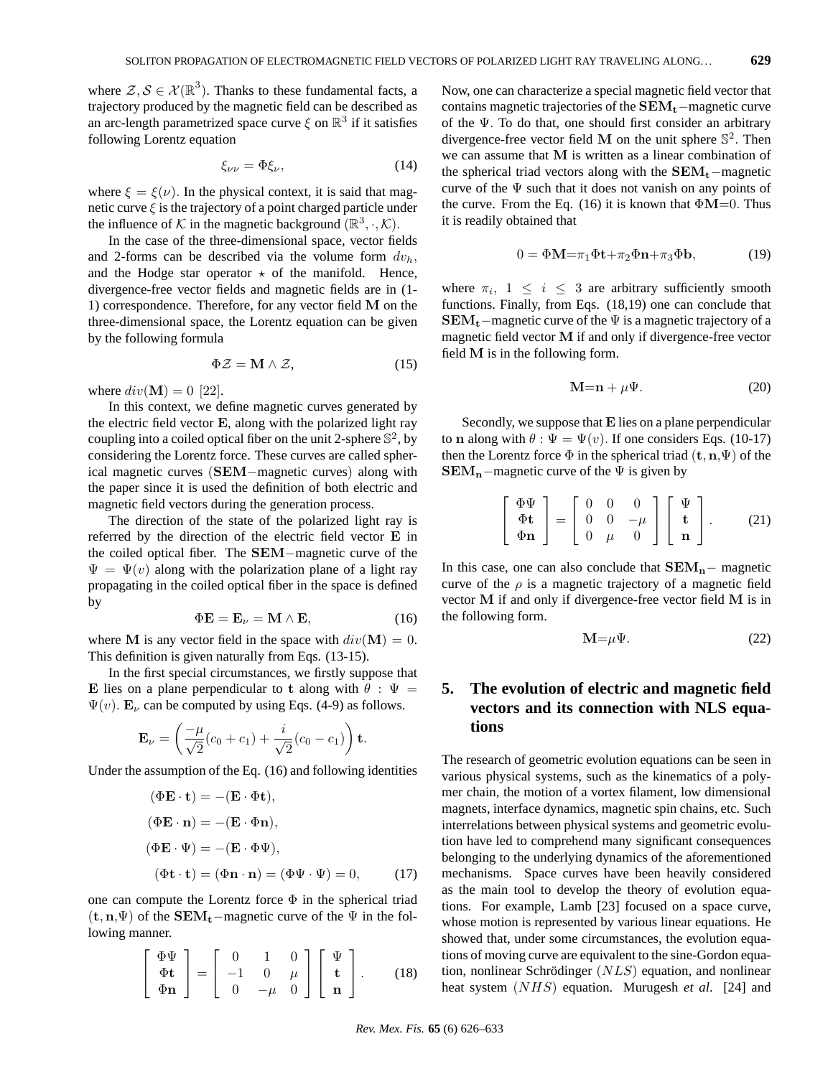where  $\mathcal{Z}, \mathcal{S} \in \mathcal{X}(\mathbb{R}^3)$ . Thanks to these fundamental facts, a trajectory produced by the magnetic field can be described as an arc-length parametrized space curve  $\xi$  on  $\mathbb{R}^3$  if it satisfies following Lorentz equation

$$
\xi_{\nu\nu} = \Phi \xi_{\nu},\tag{14}
$$

where  $\xi = \xi(\nu)$ . In the physical context, it is said that magnetic curve  $\xi$  is the trajectory of a point charged particle under the influence of K in the magnetic background  $(\mathbb{R}^3, \cdot, \mathcal{K})$ .

In the case of the three-dimensional space, vector fields and 2-forms can be described via the volume form  $dv_h$ , and the Hodge star operator  $\star$  of the manifold. Hence, divergence-free vector fields and magnetic fields are in (1- 1) correspondence. Therefore, for any vector field M on the three-dimensional space, the Lorentz equation can be given by the following formula

$$
\Phi \mathcal{Z} = \mathbf{M} \wedge \mathcal{Z},\tag{15}
$$

where  $div(\mathbf{M}) = 0$  [22].

In this context, we define magnetic curves generated by the electric field vector E, along with the polarized light ray coupling into a coiled optical fiber on the unit 2-sphere  $\mathbb{S}^2$ , by considering the Lorentz force. These curves are called spherical magnetic curves (SEM−magnetic curves) along with the paper since it is used the definition of both electric and magnetic field vectors during the generation process.

The direction of the state of the polarized light ray is referred by the direction of the electric field vector E in the coiled optical fiber. The SEM−magnetic curve of the  $\Psi = \Psi(v)$  along with the polarization plane of a light ray propagating in the coiled optical fiber in the space is defined by

$$
\Phi \mathbf{E} = \mathbf{E}_{\nu} = \mathbf{M} \wedge \mathbf{E}, \tag{16}
$$

where M is any vector field in the space with  $div(M) = 0$ . This definition is given naturally from Eqs. (13-15).

In the first special circumstances, we firstly suppose that E lies on a plane perpendicular to t along with  $\theta : \Psi =$  $\Psi(v)$ .  $\mathbf{E}_{\nu}$  can be computed by using Eqs. (4-9) as follows.

$$
\mathbf{E}_{\nu} = \left(\frac{-\mu}{\sqrt{2}}(c_0 + c_1) + \frac{i}{\sqrt{2}}(c_0 - c_1)\right)\mathbf{t}.
$$

Under the assumption of the Eq. (16) and following identities

$$
(\Phi \mathbf{E} \cdot \mathbf{t}) = -(\mathbf{E} \cdot \Phi \mathbf{t}),
$$
  
\n
$$
(\Phi \mathbf{E} \cdot \mathbf{n}) = -(\mathbf{E} \cdot \Phi \mathbf{n}),
$$
  
\n
$$
(\Phi \mathbf{E} \cdot \Psi) = -(\mathbf{E} \cdot \Phi \Psi),
$$
  
\n
$$
(\Phi \mathbf{t} \cdot \mathbf{t}) = (\Phi \mathbf{n} \cdot \mathbf{n}) = (\Phi \Psi \cdot \Psi) = 0,
$$
 (17)

one can compute the Lorentz force  $\Phi$  in the spherical triad  $(t, n, \Psi)$  of the SEM<sub>t</sub>−magnetic curve of the  $\Psi$  in the following manner.

$$
\left[\begin{array}{c}\Phi\Psi\\\Phi\mathbf{t}\\\Phi\mathbf{n}\end{array}\right]=\left[\begin{array}{ccc}0&1&0\\-1&0&\mu\\0&-\mu&0\end{array}\right]\left[\begin{array}{c}\Psi\\\mathbf{t}\\\mathbf{n}\end{array}\right].\qquad(18)
$$

Now, one can characterize a special magnetic field vector that contains magnetic trajectories of the  $SEM_t$  –magnetic curve of the Ψ. To do that, one should first consider an arbitrary divergence-free vector field M on the unit sphere  $\mathbb{S}^2$ . Then we can assume that M is written as a linear combination of the spherical triad vectors along with the  $SEM_t$ –magnetic curve of the  $\Psi$  such that it does not vanish on any points of the curve. From the Eq. (16) it is known that  $\Phi M = 0$ . Thus it is readily obtained that

$$
0 = \Phi \mathbf{M} = \pi_1 \Phi \mathbf{t} + \pi_2 \Phi \mathbf{n} + \pi_3 \Phi \mathbf{b},\tag{19}
$$

where  $\pi_i$ ,  $1 \leq i \leq 3$  are arbitrary sufficiently smooth functions. Finally, from Eqs. (18,19) one can conclude that  $SEM_t$ –magnetic curve of the  $\Psi$  is a magnetic trajectory of a magnetic field vector M if and only if divergence-free vector field M is in the following form.

$$
M=n+\mu\Psi.
$$
 (20)

Secondly, we suppose that E lies on a plane perpendicular to n along with  $\theta$  :  $\Psi = \Psi(v)$ . If one considers Eqs. (10-17) then the Lorentz force  $\Phi$  in the spherical triad  $(\mathbf{t}, \mathbf{n}, \Psi)$  of the  $SEM_n$ –magnetic curve of the  $\Psi$  is given by

$$
\left[\begin{array}{c}\Phi\Psi\\\Phi\mathbf{t}\\\Phi\mathbf{n}\end{array}\right]=\left[\begin{array}{ccc}0&0&0\\0&0&-\mu\\0&\mu&0\end{array}\right]\left[\begin{array}{c}\Psi\\\mathbf{t}\\\mathbf{n}\end{array}\right].\qquad(21)
$$

In this case, one can also conclude that  $SEM_n$  – magnetic curve of the  $\rho$  is a magnetic trajectory of a magnetic field vector M if and only if divergence-free vector field M is in the following form.

$$
\mathbf{M} = \mu \Psi. \tag{22}
$$

### **5. The evolution of electric and magnetic field vectors and its connection with NLS equations**

The research of geometric evolution equations can be seen in various physical systems, such as the kinematics of a polymer chain, the motion of a vortex filament, low dimensional magnets, interface dynamics, magnetic spin chains, etc. Such interrelations between physical systems and geometric evolution have led to comprehend many significant consequences belonging to the underlying dynamics of the aforementioned mechanisms. Space curves have been heavily considered as the main tool to develop the theory of evolution equations. For example, Lamb [23] focused on a space curve, whose motion is represented by various linear equations. He showed that, under some circumstances, the evolution equations of moving curve are equivalent to the sine-Gordon equation, nonlinear Schrödinger  $(NLS)$  equation, and nonlinear heat system (NHS) equation. Murugesh *et al*. [24] and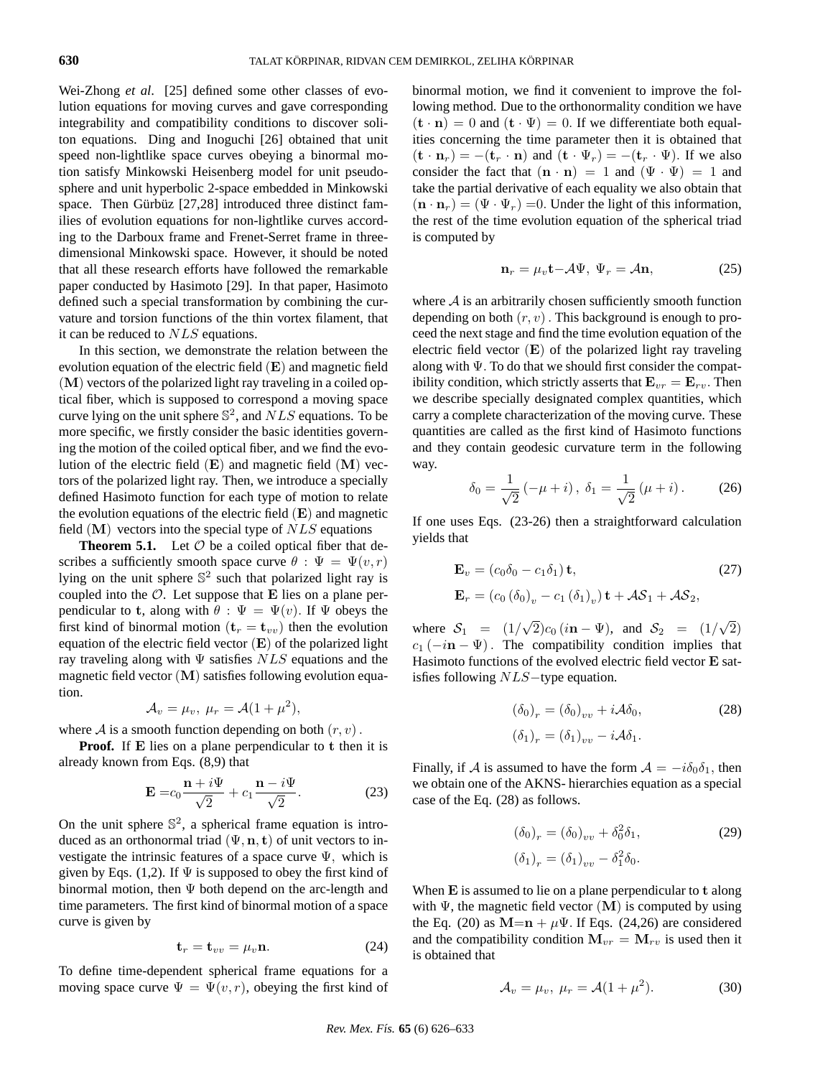Wei-Zhong *et al*. [25] defined some other classes of evolution equations for moving curves and gave corresponding integrability and compatibility conditions to discover soliton equations. Ding and Inoguchi [26] obtained that unit speed non-lightlike space curves obeying a binormal motion satisfy Minkowski Heisenberg model for unit pseudosphere and unit hyperbolic 2-space embedded in Minkowski space. Then Gürbüz  $[27,28]$  introduced three distinct families of evolution equations for non-lightlike curves according to the Darboux frame and Frenet-Serret frame in threedimensional Minkowski space. However, it should be noted that all these research efforts have followed the remarkable paper conducted by Hasimoto [29]. In that paper, Hasimoto defined such a special transformation by combining the curvature and torsion functions of the thin vortex filament, that it can be reduced to NLS equations.

In this section, we demonstrate the relation between the evolution equation of the electric field  $(E)$  and magnetic field (M) vectors of the polarized light ray traveling in a coiled optical fiber, which is supposed to correspond a moving space curve lying on the unit sphere  $\mathbb{S}^2$ , and  $NLS$  equations. To be more specific, we firstly consider the basic identities governing the motion of the coiled optical fiber, and we find the evolution of the electric field  $(E)$  and magnetic field  $(M)$  vectors of the polarized light ray. Then, we introduce a specially defined Hasimoto function for each type of motion to relate the evolution equations of the electric field  $(E)$  and magnetic field  $(M)$  vectors into the special type of  $NLS$  equations

**Theorem 5.1.** Let  $\mathcal O$  be a coiled optical fiber that describes a sufficiently smooth space curve  $\theta : \Psi = \Psi(v, r)$ lying on the unit sphere  $\mathbb{S}^2$  such that polarized light ray is coupled into the  $\mathcal{O}$ . Let suppose that **E** lies on a plane perpendicular to t, along with  $\theta : \Psi = \Psi(v)$ . If  $\Psi$  obeys the first kind of binormal motion  $(\mathbf{t}_r = \mathbf{t}_{vv})$  then the evolution equation of the electric field vector  $(E)$  of the polarized light ray traveling along with  $\Psi$  satisfies  $NLS$  equations and the magnetic field vector (M) satisfies following evolution equation.

$$
\mathcal{A}_v = \mu_v, \ \mu_r = \mathcal{A}(1 + \mu^2),
$$

where A is a smooth function depending on both  $(r, v)$ .

**Proof.** If **E** lies on a plane perpendicular to **t** then it is already known from Eqs. (8,9) that

$$
\mathbf{E} = c_0 \frac{\mathbf{n} + i\Psi}{\sqrt{2}} + c_1 \frac{\mathbf{n} - i\Psi}{\sqrt{2}}.
$$
 (23)

On the unit sphere  $\mathbb{S}^2$ , a spherical frame equation is introduced as an orthonormal triad  $(\Psi, \mathbf{n}, \mathbf{t})$  of unit vectors to investigate the intrinsic features of a space curve  $\Psi$ , which is given by Eqs. (1,2). If  $\Psi$  is supposed to obey the first kind of binormal motion, then  $\Psi$  both depend on the arc-length and time parameters. The first kind of binormal motion of a space curve is given by

$$
\mathbf{t}_r = \mathbf{t}_{vv} = \mu_v \mathbf{n}.\tag{24}
$$

To define time-dependent spherical frame equations for a moving space curve  $\Psi = \Psi(v, r)$ , obeying the first kind of

binormal motion, we find it convenient to improve the following method. Due to the orthonormality condition we have  $(\mathbf{t} \cdot \mathbf{n}) = 0$  and  $(\mathbf{t} \cdot \Psi) = 0$ . If we differentiate both equalities concerning the time parameter then it is obtained that  $(\mathbf{t} \cdot \mathbf{n}_r) = -(\mathbf{t}_r \cdot \mathbf{n})$  and  $(\mathbf{t} \cdot \Psi_r) = -(\mathbf{t}_r \cdot \Psi)$ . If we also consider the fact that  $(n \cdot n) = 1$  and  $(\Psi \cdot \Psi) = 1$  and take the partial derivative of each equality we also obtain that  $(n \cdot n_r) = (\Psi \cdot \Psi_r) = 0$ . Under the light of this information, the rest of the time evolution equation of the spherical triad is computed by

$$
\mathbf{n}_r = \mu_v \mathbf{t} - \mathcal{A}\Psi, \ \Psi_r = \mathcal{A}\mathbf{n},\tag{25}
$$

where  $A$  is an arbitrarily chosen sufficiently smooth function depending on both  $(r, v)$ . This background is enough to proceed the next stage and find the time evolution equation of the electric field vector (E) of the polarized light ray traveling along with  $\Psi$ . To do that we should first consider the compatibility condition, which strictly asserts that  ${\bf E}_{vr}={\bf E}_{rv}$ . Then we describe specially designated complex quantities, which carry a complete characterization of the moving curve. These quantities are called as the first kind of Hasimoto functions and they contain geodesic curvature term in the following way.

$$
\delta_0 = \frac{1}{\sqrt{2}} \left( -\mu + i \right), \ \delta_1 = \frac{1}{\sqrt{2}} \left( \mu + i \right). \tag{26}
$$

If one uses Eqs. (23-26) then a straightforward calculation yields that

$$
\mathbf{E}_v = (c_0 \delta_0 - c_1 \delta_1) \mathbf{t},
$$
  
\n
$$
\mathbf{E}_r = (c_0 (\delta_0)_v - c_1 (\delta_1)_v) \mathbf{t} + \mathcal{A} \mathcal{S}_1 + \mathcal{A} \mathcal{S}_2,
$$
\n(27)

where  $S_1 = (1/$ √  $(2)c_0 (i\mathbf{n} - \Psi)$ , and  $S_2 = (1/2)$ √ 2)  $c_1$  ( $-i\mathbf{n} - \Psi$ ). The compatibility condition implies that Hasimoto functions of the evolved electric field vector E satisfies following NLS−type equation.

$$
(\delta_0)_r = (\delta_0)_{vv} + i\mathcal{A}\delta_0,
$$
  

$$
(\delta_1)_r = (\delta_1)_{vv} - i\mathcal{A}\delta_1.
$$
 (28)

Finally, if A is assumed to have the form  $A = -i\delta_0\delta_1$ , then we obtain one of the AKNS- hierarchies equation as a special case of the Eq. (28) as follows.

$$
(\delta_0)_r = (\delta_0)_{vv} + \delta_0^2 \delta_1,
$$
  
\n
$$
(\delta_1)_r = (\delta_1)_{vv} - \delta_1^2 \delta_0.
$$
\n(29)

When E is assumed to lie on a plane perpendicular to t along with  $\Psi$ , the magnetic field vector  $(M)$  is computed by using the Eq. (20) as  $M=n + \mu\Psi$ . If Eqs. (24,26) are considered and the compatibility condition  $M_{vr} = M_{rv}$  is used then it is obtained that

$$
\mathcal{A}_v = \mu_v, \ \mu_r = \mathcal{A}(1 + \mu^2). \tag{30}
$$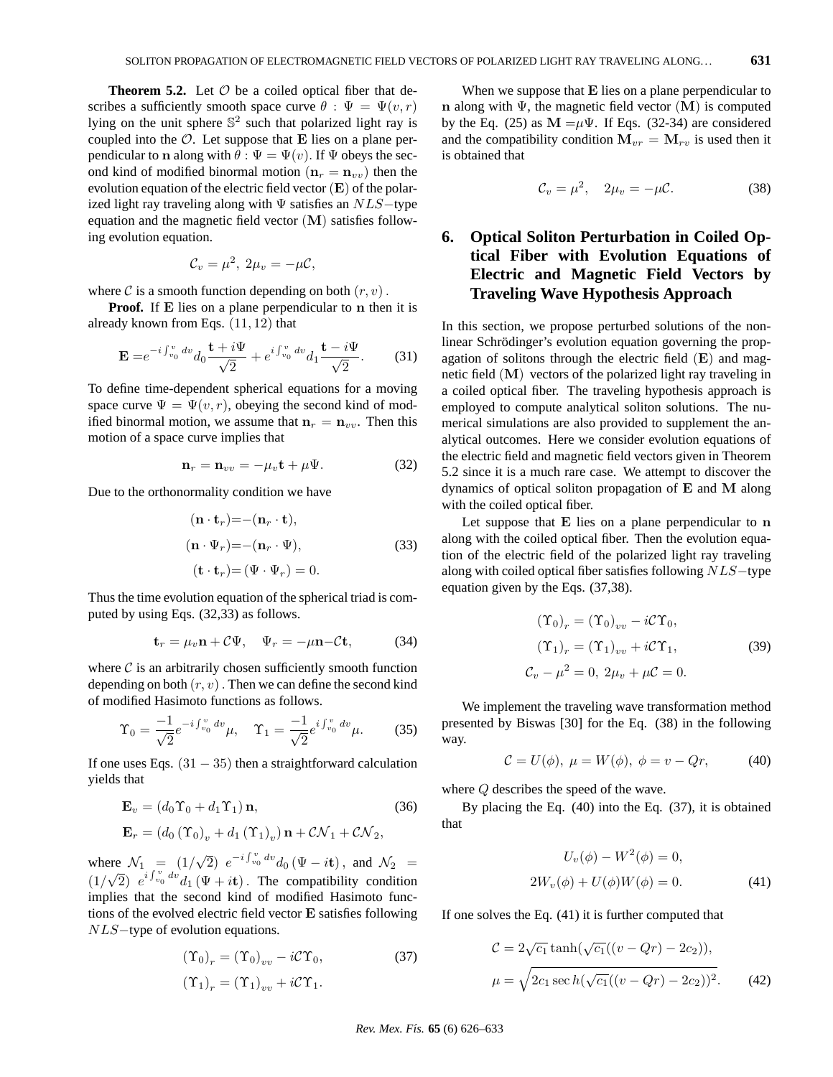**Theorem 5.2.** Let  $\mathcal O$  be a coiled optical fiber that describes a sufficiently smooth space curve  $\theta : \Psi = \Psi(v, r)$ lying on the unit sphere  $\mathbb{S}^2$  such that polarized light ray is coupled into the  $\mathcal O$ . Let suppose that E lies on a plane perpendicular to n along with  $\theta : \Psi = \Psi(v)$ . If  $\Psi$  obeys the second kind of modified binormal motion ( $n_r = n_{vv}$ ) then the evolution equation of the electric field vector  $(E)$  of the polarized light ray traveling along with  $\Psi$  satisfies an  $NLS$ -type equation and the magnetic field vector (M) satisfies following evolution equation.

$$
\mathcal{C}_v = \mu^2, 2\mu_v = -\mu \mathcal{C},
$$

where C is a smooth function depending on both  $(r, v)$ .

**Proof.** If **E** lies on a plane perpendicular to **n** then it is already known from Eqs.  $(11, 12)$  that

$$
\mathbf{E} = e^{-i \int_{v_0}^{v} dv} d_0 \frac{\mathbf{t} + i \Psi}{\sqrt{2}} + e^{i \int_{v_0}^{v} dv} d_1 \frac{\mathbf{t} - i \Psi}{\sqrt{2}}.
$$
 (31)

To define time-dependent spherical equations for a moving space curve  $\Psi = \Psi(v, r)$ , obeying the second kind of modified binormal motion, we assume that  $n_r = n_{vv}$ . Then this motion of a space curve implies that

$$
\mathbf{n}_r = \mathbf{n}_{vv} = -\mu_v \mathbf{t} + \mu \Psi. \tag{32}
$$

Due to the orthonormality condition we have

$$
(\mathbf{n} \cdot \mathbf{t}_r) = -(\mathbf{n}_r \cdot \mathbf{t}),
$$
  
\n
$$
(\mathbf{n} \cdot \Psi_r) = -(\mathbf{n}_r \cdot \Psi),
$$
  
\n
$$
(\mathbf{t} \cdot \mathbf{t}_r) = (\Psi \cdot \Psi_r) = 0.
$$
\n(33)

Thus the time evolution equation of the spherical triad is computed by using Eqs. (32,33) as follows.

$$
\mathbf{t}_r = \mu_v \mathbf{n} + C\Psi, \quad \Psi_r = -\mu \mathbf{n} - C\mathbf{t}, \tag{34}
$$

where  $\mathcal C$  is an arbitrarily chosen sufficiently smooth function depending on both  $(r, v)$ . Then we can define the second kind of modified Hasimoto functions as follows.

$$
\Upsilon_0 = \frac{-1}{\sqrt{2}} e^{-i \int_{v_0}^v dv} \mu, \quad \Upsilon_1 = \frac{-1}{\sqrt{2}} e^{i \int_{v_0}^v dv} \mu.
$$
 (35)

If one uses Eqs.  $(31 – 35)$  then a straightforward calculation yields that

$$
\mathbf{E}_v = (d_0 \Upsilon_0 + d_1 \Upsilon_1) \mathbf{n},\tag{36}
$$

$$
\mathbf{E}_r = (d_0 (\Upsilon_0)_v + d_1 (\Upsilon_1)_v) \mathbf{n} + C\mathcal{N}_1 + C\mathcal{N}_2,
$$

where  $\mathcal{N}_1 = (1/$ √ ere  $\mathcal{N}_1 = (1/\sqrt{2}) e^{-i \int_{v_0}^v dv} d_0 (\Psi - i \mathbf{t}),$  and  $\mathcal{N}_2 =$  $(1/\sqrt{2}) e^{i \int_{v_0}^v dv} d_1 (\Psi + i\mathbf{t})$ . The compatibility condition implies that the second kind of modified Hasimoto functions of the evolved electric field vector E satisfies following NLS–type of evolution equations.

$$
(\Upsilon_0)_r = (\Upsilon_0)_{vv} - i\mathcal{C}\Upsilon_0,\tag{37}
$$

$$
(\Upsilon_1)_r = (\Upsilon_1)_{vv} + i\mathcal{C}\Upsilon_1.
$$

When we suppose that  $E$  lies on a plane perpendicular to n along with Ψ, the magnetic field vector  $(M)$  is computed by the Eq. (25) as  $M = \mu \Psi$ . If Eqs. (32-34) are considered and the compatibility condition  $M_{vr} = M_{rv}$  is used then it is obtained that

$$
\mathcal{C}_v = \mu^2, \quad 2\mu_v = -\mu \mathcal{C}.\tag{38}
$$

### **6. Optical Soliton Perturbation in Coiled Optical Fiber with Evolution Equations of Electric and Magnetic Field Vectors by Traveling Wave Hypothesis Approach**

In this section, we propose perturbed solutions of the nonlinear Schrödinger's evolution equation governing the propagation of solitons through the electric field  $(E)$  and magnetic field (M) vectors of the polarized light ray traveling in a coiled optical fiber. The traveling hypothesis approach is employed to compute analytical soliton solutions. The numerical simulations are also provided to supplement the analytical outcomes. Here we consider evolution equations of the electric field and magnetic field vectors given in Theorem 5.2 since it is a much rare case. We attempt to discover the dynamics of optical soliton propagation of E and M along with the coiled optical fiber.

Let suppose that  $E$  lies on a plane perpendicular to  $n$ along with the coiled optical fiber. Then the evolution equation of the electric field of the polarized light ray traveling along with coiled optical fiber satisfies following NLS−type equation given by the Eqs. (37,38).

$$
(\Upsilon_0)_r = (\Upsilon_0)_{vv} - i\mathcal{C}\Upsilon_0,
$$
  
\n
$$
(\Upsilon_1)_r = (\Upsilon_1)_{vv} + i\mathcal{C}\Upsilon_1,
$$
  
\n
$$
\mathcal{C}_v - \mu^2 = 0, 2\mu_v + \mu \mathcal{C} = 0.
$$
\n(39)

We implement the traveling wave transformation method presented by Biswas [30] for the Eq. (38) in the following way.

$$
\mathcal{C} = U(\phi), \ \mu = W(\phi), \ \phi = v - Qr,\tag{40}
$$

where Q describes the speed of the wave.

By placing the Eq. (40) into the Eq. (37), it is obtained that

$$
U_v(\phi) - W^2(\phi) = 0,
$$
  

$$
2W_v(\phi) + U(\phi)W(\phi) = 0.
$$
 (41)

If one solves the Eq. (41) it is further computed that

$$
C = 2\sqrt{c_1} \tanh(\sqrt{c_1}((v - Qr) - 2c_2)),
$$
  

$$
\mu = \sqrt{2c_1 \sec h(\sqrt{c_1}((v - Qr) - 2c_2))^2}.
$$
 (42)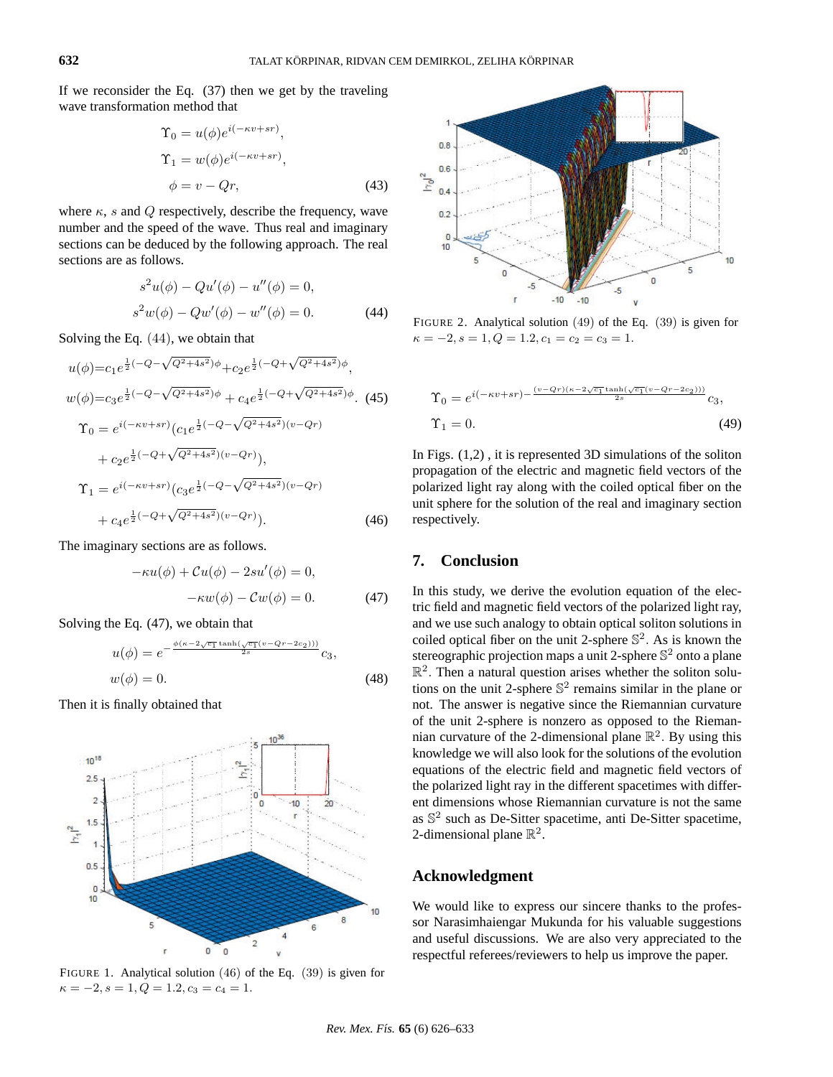If we reconsider the Eq. (37) then we get by the traveling wave transformation method that

$$
\Upsilon_0 = u(\phi)e^{i(-\kappa v + sr)},
$$
  
\n
$$
\Upsilon_1 = w(\phi)e^{i(-\kappa v + sr)},
$$
  
\n
$$
\phi = v - Qr,
$$
\n(43)

where  $\kappa$ , s and Q respectively, describe the frequency, wave number and the speed of the wave. Thus real and imaginary sections can be deduced by the following approach. The real sections are as follows.

$$
s2u(\phi) - Qu'(\phi) - u''(\phi) = 0,
$$
  

$$
s2w(\phi) - Qu'(\phi) - w''(\phi) = 0.
$$
 (44)

√

Solving the Eq. (44), we obtain that

√

$$
u(\phi) = c_1 e^{\frac{1}{2}(-Q - \sqrt{Q^2 + 4s^2})\phi} + c_2 e^{\frac{1}{2}(-Q + \sqrt{Q^2 + 4s^2})\phi},
$$
  
\n
$$
w(\phi) = c_3 e^{\frac{1}{2}(-Q - \sqrt{Q^2 + 4s^2})\phi} + c_4 e^{\frac{1}{2}(-Q + \sqrt{Q^2 + 4s^2})\phi}. \tag{45}
$$
  
\n
$$
\Upsilon_0 = e^{i(-\kappa v + sr)} (c_1 e^{\frac{1}{2}(-Q - \sqrt{Q^2 + 4s^2})(v - Qr)}) + c_2 e^{\frac{1}{2}(-Q + \sqrt{Q^2 + 4s^2})(v - Qr)}),
$$
  
\n
$$
\Upsilon_1 = e^{i(-\kappa v + sr)} (c_3 e^{\frac{1}{2}(-Q - \sqrt{Q^2 + 4s^2})(v - Qr)}) + c_4 e^{\frac{1}{2}(-Q + \sqrt{Q^2 + 4s^2})(v - Qr)}).
$$
  
\n(46)

The imaginary sections are as follows.

$$
-\kappa u(\phi) + Cu(\phi) - 2su'(\phi) = 0,
$$
  

$$
-\kappa w(\phi) - Cw(\phi) = 0.
$$
 (47)

Solving the Eq. (47), we obtain that

$$
u(\phi) = e^{-\frac{\phi(\kappa - 2\sqrt{c_1}\tanh(\sqrt{c_1}(v - Qr - 2c_2)))}{2s}}c_3,
$$
  

$$
w(\phi) = 0.
$$
 (48)

Then it is finally obtained that



FIGURE 1. Analytical solution (46) of the Eq. (39) is given for  $\kappa = -2, s = 1, Q = 1.2, c_3 = c_4 = 1.$ 



FIGURE 2. Analytical solution (49) of the Eq. (39) is given for  $\kappa = -2, s = 1, Q = 1.2, c_1 = c_2 = c_3 = 1.$ 

$$
\begin{aligned} \Upsilon_0 &= e^{i(-\kappa v + sr) - \frac{(v - qr)(\kappa - 2\sqrt{c_1}\tanh(\sqrt{c_1}(v - qr - 2c_2)))}{2s}}c_3, \\ \Upsilon_1 &= 0. \end{aligned} \tag{49}
$$

In Figs. (1,2) , it is represented 3D simulations of the soliton propagation of the electric and magnetic field vectors of the polarized light ray along with the coiled optical fiber on the unit sphere for the solution of the real and imaginary section respectively.

#### **7. Conclusion**

In this study, we derive the evolution equation of the electric field and magnetic field vectors of the polarized light ray, and we use such analogy to obtain optical soliton solutions in coiled optical fiber on the unit 2-sphere  $\mathbb{S}^2$ . As is known the stereographic projection maps a unit 2-sphere  $\mathbb{S}^2$  onto a plane  $\mathbb{R}^2$ . Then a natural question arises whether the soliton solutions on the unit 2-sphere  $\mathbb{S}^2$  remains similar in the plane or not. The answer is negative since the Riemannian curvature of the unit 2-sphere is nonzero as opposed to the Riemannian curvature of the 2-dimensional plane  $\mathbb{R}^2$ . By using this knowledge we will also look for the solutions of the evolution equations of the electric field and magnetic field vectors of the polarized light ray in the different spacetimes with different dimensions whose Riemannian curvature is not the same as  $\mathbb{S}^2$  such as De-Sitter spacetime, anti De-Sitter spacetime, 2-dimensional plane  $\mathbb{R}^2$ .

#### **Acknowledgment**

We would like to express our sincere thanks to the professor Narasimhaiengar Mukunda for his valuable suggestions and useful discussions. We are also very appreciated to the respectful referees/reviewers to help us improve the paper.